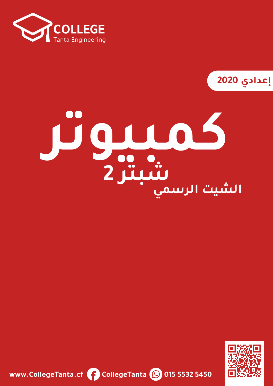

**2020**

# **كمبيوتر الشيت الرسميشبتر 2**



**www.CollegeTanta.cf CollegeTanta © 015 5532 5450**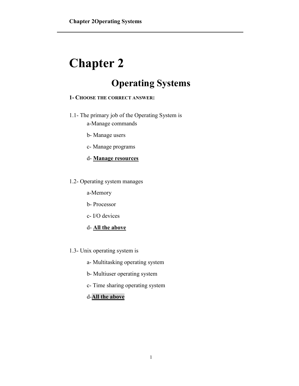## **Chapter 2**

### **Operating Systems**

#### **1- CHOOSE THE CORRECT ANSWER:**

- 1.1- The primary job of the Operating System is a-Manage commands
	- b- Manage users
	- c- Manage programs
	- d- **Manage resources**
- 1.2- Operating system manages

a-Memory

- b- Processor
- c- I/O devices
- d- **All the above**
- 1.3- Unix operating system is
	- a- Multitasking operating system
	- b- Multiuser operating system
	- c- Time sharing operating system

#### d-**All the above**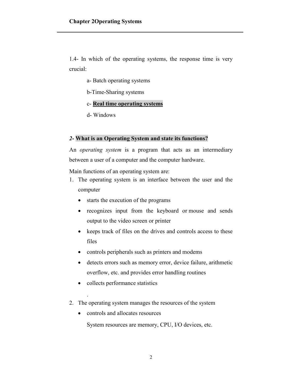1.4- In which of the operating systems, the response time is very crucial:

- a- Batch operating systems
- b-Time-Sharing systems
- c- **Real time operating systems**
- d- Windows

#### *2***- What is an Operating System and state its functions?**

An *operating system* is a program that acts as an intermediary between a user of a computer and the computer hardware.

Main functions of an operating system are:

- 1. The operating system is an interface between the user and the computer
	- starts the execution of the programs
	- recognizes input from the keyboard or mouse and sends output to the video screen or printer
	- keeps track of files on the drives and controls access to these files
	- controls peripherals such as printers and modems
	- detects errors such as memory error, device failure, arithmetic overflow, etc. and provides error handling routines
	- collects performance statistics

.

- 2. The operating system manages the resources of the system
	- controls and allocates resources

System resources are memory, CPU, I/O devices, etc.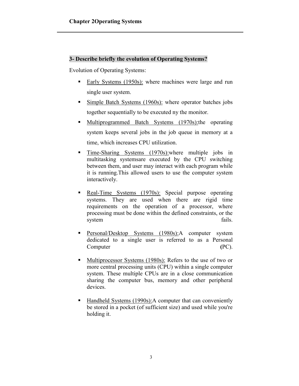#### **3- Describe briefly the evolution of Operating Systems?**

Evolution of Operating Systems:

- Early Systems (1950s): where machines were large and run single user system.
- **Simple Batch Systems (1960s):** where operator batches jobs together sequentially to be executed ny the monitor.
- Multiprogrammed Batch Systems (1970s): the operating system keeps several jobs in the job queue in memory at a time, which increases CPU utilization.
- **Time-Sharing Systems** (1970s): where multiple jobs in multitasking systemsare executed by the CPU switching between them, and user may interact with each program while it is running.This allowed users to use the computer system interactively.
- Real-Time Systems (1970s): Special purpose operating systems. They are used when there are rigid time requirements on the operation of a processor, where processing must be done within the defined constraints, or the system fails.
- **Personal/Desktop Systems (1980s):**A computer system dedicated to a single user is referred to as a Personal Computer **(**PC).
- **Multiprocessor Systems (1980s): Refers to the use of two or** more central processing units (CPU) within a single computer system. These multiple CPUs are in a close communication sharing the computer bus, memory and other peripheral devices.
- Handheld Systems (1990s): A computer that can conveniently be stored in a pocket (of sufficient size) and used while you're holding it.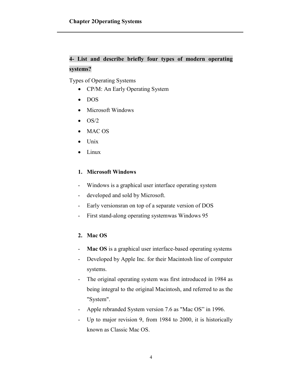#### **4- List and describe briefly four types of modern operating systems?**

Types of Operating Systems

- CP/M: An Early Operating System
- DOS
- Microsoft Windows
- $\bullet$  OS/2
- MAC OS
- Unix
- Linux

#### **1. Microsoft Windows**

- Windows is a graphical user interface operating system
- developed and sold by Microsoft.
- Early versionsran on top of a separate version of DOS
- First stand-along operating systemwas Windows 95

#### **2. Mac OS**

- **Mac OS** is a graphical user interface-based operating systems
- Developed by Apple Inc. for their Macintosh line of computer systems.
- The original operating system was first introduced in 1984 as being integral to the original Macintosh, and referred to as the "System".
- Apple rebranded System version 7.6 as "Mac OS" in 1996.
- Up to major revision 9, from 1984 to 2000, it is historically known as Classic Mac OS.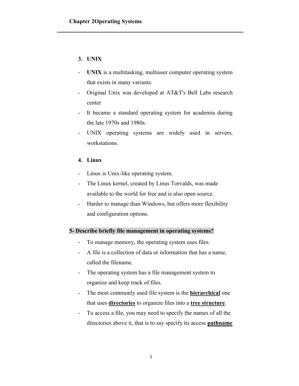#### **3. UNIX**

- **UNIX** is a multitasking, multiuser computer operating system that exists in many variants.
- Original Unix was developed at AT&T's Bell Labs research center
- It became a standard operating system for academia during the late 1970s and 1980s.
- UNIX operating systems are widely used in servers, workstations.

#### **4. Linux**

- Linux is Unix-like operating system.
- The Linux kernel, created by Linus Torvalds, was made available to the world for free and is also open source.
- Harder to manage than Windows, but offers more flexibility and configuration options.

#### **5- Describe briefly file management in operating systems?**

- To manage memory, the operating system uses files.
- A file is a collection of data or information that has a name, called the filename.
- The operating system has a file management system to organize and keep track of files.
- The most commonly used file system is the **hierarchical** one that uses **directories** to organize files into a **tree structure**.
- To access a file, you may need to specify the names of all the directories above it, that is to say specify its access **pathname**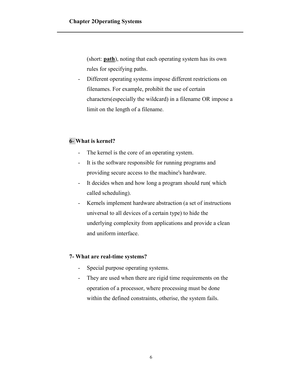(short: **path**), noting that each operating system has its own rules for specifying paths.

- Different operating systems impose different restrictions on filenames. For example, prohibit the use of certain characters(especially the wildcard) in a filename OR impose a limit on the length of a filename.

#### **6**- **What is kernel?**

- The kernel is the core of an operating system.
- It is the software responsible for running programs and providing secure access to the machine's hardware.
- It decides when and how long a program should run( which called scheduling).
- Kernels implement hardware abstraction (a set of instructions universal to all devices of a certain type) to hide the underlying complexity from applications and provide a clean and uniform interface.

#### **7- What are real-time systems?**

- Special purpose operating systems.
- They are used when there are rigid time requirements on the operation of a processor, where processing must be done within the defined constraints, otherise, the system fails.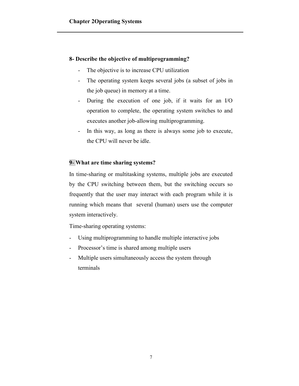#### **8- Describe the objective of multiprogramming?**

- The objective is to increase CPU utilization
- The operating system keeps several jobs (a subset of jobs in the job queue) in memory at a time.
- During the execution of one job, if it waits for an I/O operation to complete, the operating system switches to and executes another job-allowing multiprogramming.
- In this way, as long as there is always some job to execute, the CPU will never be idle.

#### **9**- **What are time sharing systems?**

In time-sharing or multitasking systems, multiple jobs are executed by the CPU switching between them, but the switching occurs so frequently that the user may interact with each program while it is running which means that several (human) users use the computer system interactively.

Time-sharing operating systems:

- Using multiprogramming to handle multiple interactive jobs
- Processor's time is shared among multiple users
- Multiple users simultaneously access the system through terminals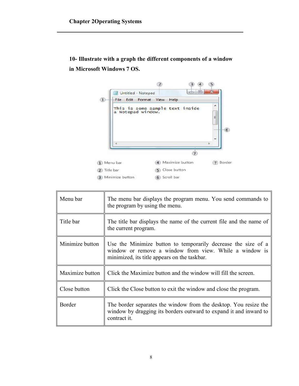**10- Illustrate with a graph the different components of a window in Microsoft Windows 7 OS.**



| Menu bar        | The menu bar displays the program menu. You send commands to<br>the program by using the menu.                                                                          |
|-----------------|-------------------------------------------------------------------------------------------------------------------------------------------------------------------------|
| Title bar       | The title bar displays the name of the current file and the name of<br>the current program.                                                                             |
| Minimize button | Use the Minimize button to temporarily decrease the size of a<br>window or remove a window from view. While a window is<br>minimized, its title appears on the taskbar. |
| Maximize button | Click the Maximize button and the window will fill the screen.                                                                                                          |
| Close button    | Click the Close button to exit the window and close the program.                                                                                                        |
| Border          | The border separates the window from the desktop. You resize the<br>window by dragging its borders outward to expand it and inward to<br>contract it.                   |